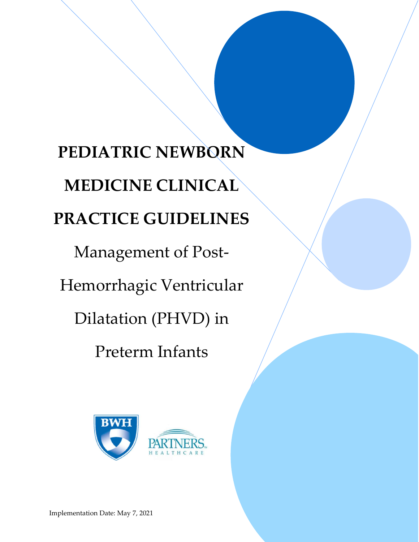# PEDIATRIC NEWBORN MEDICINE CLINICAL PRACTICE GUIDELINES

Management of Post-

Hemorrhagic Ventricular

Dilatation (PHVD) in

Preterm Infants

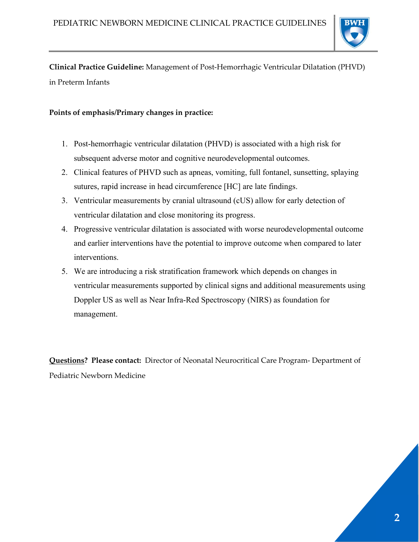

Clinical Practice Guideline: Management of Post-Hemorrhagic Ventricular Dilatation (PHVD) in Preterm Infants

## Points of emphasis/Primary changes in practice:

- 1. Post-hemorrhagic ventricular dilatation (PHVD) is associated with a high risk for subsequent adverse motor and cognitive neurodevelopmental outcomes.
- 2. Clinical features of PHVD such as apneas, vomiting, full fontanel, sunsetting, splaying sutures, rapid increase in head circumference [HC] are late findings.
- 3. Ventricular measurements by cranial ultrasound (cUS) allow for early detection of ventricular dilatation and close monitoring its progress.
- 4. Progressive ventricular dilatation is associated with worse neurodevelopmental outcome and earlier interventions have the potential to improve outcome when compared to later interventions.
- 5. We are introducing a risk stratification framework which depends on changes in ventricular measurements supported by clinical signs and additional measurements using Doppler US as well as Near Infra-Red Spectroscopy (NIRS) as foundation for management.

Questions? Please contact: Director of Neonatal Neurocritical Care Program- Department of Pediatric Newborn Medicine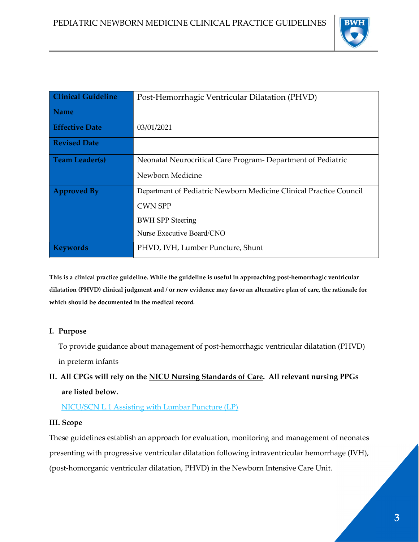

| <b>Clinical Guideline</b> | Post-Hemorrhagic Ventricular Dilatation (PHVD)                     |
|---------------------------|--------------------------------------------------------------------|
| <b>Name</b>               |                                                                    |
| <b>Effective Date</b>     | 03/01/2021                                                         |
| <b>Revised Date</b>       |                                                                    |
| <b>Team Leader(s)</b>     | Neonatal Neurocritical Care Program- Department of Pediatric       |
|                           | Newborn Medicine                                                   |
| <b>Approved By</b>        | Department of Pediatric Newborn Medicine Clinical Practice Council |
|                           | <b>CWN SPP</b>                                                     |
|                           | <b>BWH SPP Steering</b>                                            |
|                           | Nurse Executive Board/CNO                                          |
| Keywords                  | PHVD, IVH, Lumber Puncture, Shunt                                  |

This is a clinical practice guideline. While the guideline is useful in approaching post-hemorrhagic ventricular dilatation (PHVD) clinical judgment and / or new evidence may favor an alternative plan of care, the rationale for which should be documented in the medical record.

#### I. Purpose

To provide guidance about management of post-hemorrhagic ventricular dilatation (PHVD) in preterm infants

## II. All CPGs will rely on the NICU Nursing Standards of Care. All relevant nursing PPGs are listed below.

NICU/SCN L.1 Assisting with Lumbar Puncture (LP)

#### III. Scope

These guidelines establish an approach for evaluation, monitoring and management of neonates presenting with progressive ventricular dilatation following intraventricular hemorrhage (IVH), (post-homorganic ventricular dilatation, PHVD) in the Newborn Intensive Care Unit.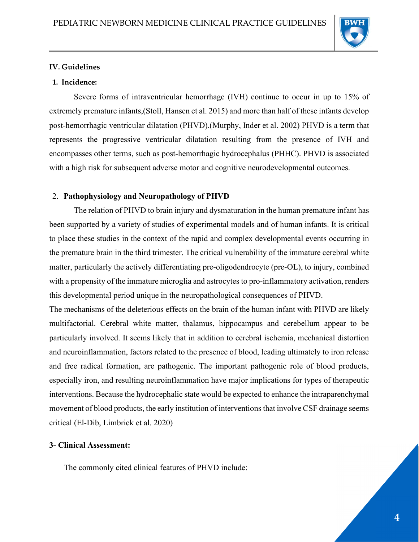

#### IV. Guidelines

#### 1. Incidence:

Severe forms of intraventricular hemorrhage (IVH) continue to occur in up to 15% of extremely premature infants,(Stoll, Hansen et al. 2015) and more than half of these infants develop post-hemorrhagic ventricular dilatation (PHVD).(Murphy, Inder et al. 2002) PHVD is a term that represents the progressive ventricular dilatation resulting from the presence of IVH and encompasses other terms, such as post-hemorrhagic hydrocephalus (PHHC). PHVD is associated with a high risk for subsequent adverse motor and cognitive neurodevelopmental outcomes.

#### 2. Pathophysiology and Neuropathology of PHVD

 The relation of PHVD to brain injury and dysmaturation in the human premature infant has been supported by a variety of studies of experimental models and of human infants. It is critical to place these studies in the context of the rapid and complex developmental events occurring in the premature brain in the third trimester. The critical vulnerability of the immature cerebral white matter, particularly the actively differentiating pre-oligodendrocyte (pre-OL), to injury, combined with a propensity of the immature microglia and astrocytes to pro-inflammatory activation, renders this developmental period unique in the neuropathological consequences of PHVD.

The mechanisms of the deleterious effects on the brain of the human infant with PHVD are likely multifactorial. Cerebral white matter, thalamus, hippocampus and cerebellum appear to be particularly involved. It seems likely that in addition to cerebral ischemia, mechanical distortion and neuroinflammation, factors related to the presence of blood, leading ultimately to iron release and free radical formation, are pathogenic. The important pathogenic role of blood products, especially iron, and resulting neuroinflammation have major implications for types of therapeutic interventions. Because the hydrocephalic state would be expected to enhance the intraparenchymal movement of blood products, the early institution of interventions that involve CSF drainage seems critical (El-Dib, Limbrick et al. 2020)

## 3- Clinical Assessment:

The commonly cited clinical features of PHVD include: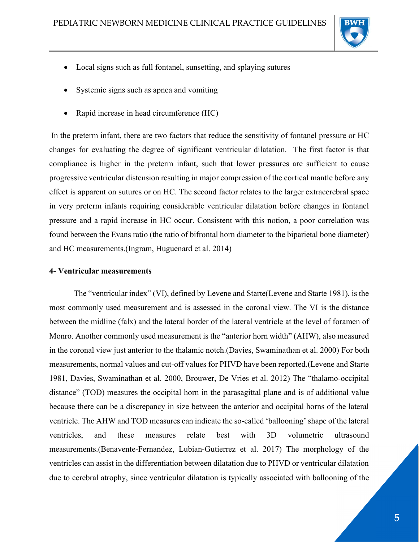

- Local signs such as full fontanel, sunsetting, and splaying sutures
- Systemic signs such as apnea and vomiting
- Rapid increase in head circumference (HC)

 In the preterm infant, there are two factors that reduce the sensitivity of fontanel pressure or HC changes for evaluating the degree of significant ventricular dilatation. The first factor is that compliance is higher in the preterm infant, such that lower pressures are sufficient to cause progressive ventricular distension resulting in major compression of the cortical mantle before any effect is apparent on sutures or on HC. The second factor relates to the larger extracerebral space in very preterm infants requiring considerable ventricular dilatation before changes in fontanel pressure and a rapid increase in HC occur. Consistent with this notion, a poor correlation was found between the Evans ratio (the ratio of bifrontal horn diameter to the biparietal bone diameter) and HC measurements.(Ingram, Huguenard et al. 2014)

#### 4- Ventricular measurements

The "ventricular index" (VI), defined by Levene and Starte(Levene and Starte 1981), is the most commonly used measurement and is assessed in the coronal view. The VI is the distance between the midline (falx) and the lateral border of the lateral ventricle at the level of foramen of Monro. Another commonly used measurement is the "anterior horn width" (AHW), also measured in the coronal view just anterior to the thalamic notch.(Davies, Swaminathan et al. 2000) For both measurements, normal values and cut-off values for PHVD have been reported.(Levene and Starte 1981, Davies, Swaminathan et al. 2000, Brouwer, De Vries et al. 2012) The "thalamo-occipital distance" (TOD) measures the occipital horn in the parasagittal plane and is of additional value because there can be a discrepancy in size between the anterior and occipital horns of the lateral ventricle. The AHW and TOD measures can indicate the so-called 'ballooning' shape of the lateral ventricles, and these measures relate best with 3D volumetric ultrasound measurements.(Benavente-Fernandez, Lubian-Gutierrez et al. 2017) The morphology of the ventricles can assist in the differentiation between dilatation due to PHVD or ventricular dilatation due to cerebral atrophy, since ventricular dilatation is typically associated with ballooning of the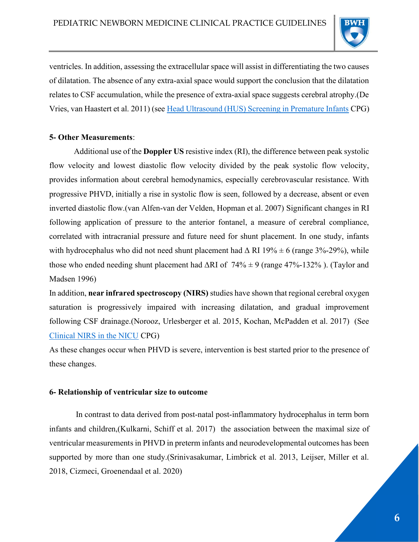

ventricles. In addition, assessing the extracellular space will assist in differentiating the two causes of dilatation. The absence of any extra-axial space would support the conclusion that the dilatation relates to CSF accumulation, while the presence of extra-axial space suggests cerebral atrophy.(De Vries, van Haastert et al. 2011) (see Head Ultrasound (HUS) Screening in Premature Infants CPG)

## 5- Other Measurements:

Additional use of the Doppler US resistive index (RI), the difference between peak systolic flow velocity and lowest diastolic flow velocity divided by the peak systolic flow velocity, provides information about cerebral hemodynamics, especially cerebrovascular resistance. With progressive PHVD, initially a rise in systolic flow is seen, followed by a decrease, absent or even inverted diastolic flow.(van Alfen-van der Velden, Hopman et al. 2007) Significant changes in RI following application of pressure to the anterior fontanel, a measure of cerebral compliance, correlated with intracranial pressure and future need for shunt placement. In one study, infants with hydrocephalus who did not need shunt placement had  $\Delta$  RI 19%  $\pm$  6 (range 3%-29%), while those who ended needing shunt placement had  $\Delta$ RI of 74%  $\pm$  9 (range 47%-132%). (Taylor and Madsen 1996)

In addition, near infrared spectroscopy (NIRS) studies have shown that regional cerebral oxygen saturation is progressively impaired with increasing dilatation, and gradual improvement following CSF drainage.(Norooz, Urlesberger et al. 2015, Kochan, McPadden et al. 2017) (See Clinical NIRS in the NICU CPG)

As these changes occur when PHVD is severe, intervention is best started prior to the presence of these changes.

## 6- Relationship of ventricular size to outcome

 In contrast to data derived from post-natal post-inflammatory hydrocephalus in term born infants and children,(Kulkarni, Schiff et al. 2017) the association between the maximal size of ventricular measurements in PHVD in preterm infants and neurodevelopmental outcomes has been supported by more than one study.(Srinivasakumar, Limbrick et al. 2013, Leijser, Miller et al. 2018, Cizmeci, Groenendaal et al. 2020)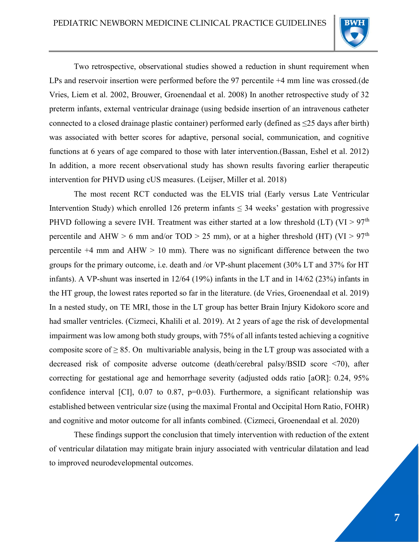

Two retrospective, observational studies showed a reduction in shunt requirement when LPs and reservoir insertion were performed before the 97 percentile +4 mm line was crossed.(de Vries, Liem et al. 2002, Brouwer, Groenendaal et al. 2008) In another retrospective study of 32 preterm infants, external ventricular drainage (using bedside insertion of an intravenous catheter connected to a closed drainage plastic container) performed early (defined as  $\leq$ 25 days after birth) was associated with better scores for adaptive, personal social, communication, and cognitive functions at 6 years of age compared to those with later intervention.(Bassan, Eshel et al. 2012) In addition, a more recent observational study has shown results favoring earlier therapeutic intervention for PHVD using cUS measures. (Leijser, Miller et al. 2018)

The most recent RCT conducted was the ELVIS trial (Early versus Late Ventricular Intervention Study) which enrolled 126 preterm infants  $\leq$  34 weeks' gestation with progressive PHVD following a severe IVH. Treatment was either started at a low threshold (LT) (VI > 97<sup>th</sup> percentile and AHW > 6 mm and/or TOD > 25 mm), or at a higher threshold (HT) (VI >  $97<sup>th</sup>$ percentile  $+4$  mm and  $AHW > 10$  mm). There was no significant difference between the two groups for the primary outcome, i.e. death and /or VP-shunt placement (30% LT and 37% for HT infants). A VP-shunt was inserted in 12/64 (19%) infants in the LT and in 14/62 (23%) infants in the HT group, the lowest rates reported so far in the literature. (de Vries, Groenendaal et al. 2019) In a nested study, on TE MRI, those in the LT group has better Brain Injury Kidokoro score and had smaller ventricles. (Cizmeci, Khalili et al. 2019). At 2 years of age the risk of developmental impairment was low among both study groups, with 75% of all infants tested achieving a cognitive composite score of  $\geq 85$ . On multivariable analysis, being in the LT group was associated with a decreased risk of composite adverse outcome (death/cerebral palsy/BSID score <70), after correcting for gestational age and hemorrhage severity (adjusted odds ratio [aOR]: 0.24, 95% confidence interval [CI],  $0.07$  to  $0.87$ ,  $p=0.03$ ). Furthermore, a significant relationship was established between ventricular size (using the maximal Frontal and Occipital Horn Ratio, FOHR) and cognitive and motor outcome for all infants combined. (Cizmeci, Groenendaal et al. 2020)

These findings support the conclusion that timely intervention with reduction of the extent of ventricular dilatation may mitigate brain injury associated with ventricular dilatation and lead to improved neurodevelopmental outcomes.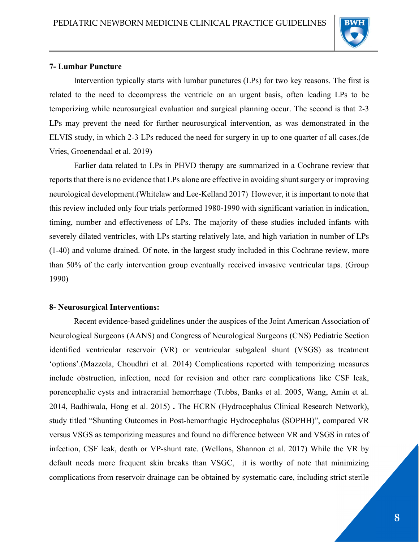

#### 7- Lumbar Puncture

Intervention typically starts with lumbar punctures (LPs) for two key reasons. The first is related to the need to decompress the ventricle on an urgent basis, often leading LPs to be temporizing while neurosurgical evaluation and surgical planning occur. The second is that 2-3 LPs may prevent the need for further neurosurgical intervention, as was demonstrated in the ELVIS study, in which 2-3 LPs reduced the need for surgery in up to one quarter of all cases.(de Vries, Groenendaal et al. 2019)

Earlier data related to LPs in PHVD therapy are summarized in a Cochrane review that reports that there is no evidence that LPs alone are effective in avoiding shunt surgery or improving neurological development.(Whitelaw and Lee-Kelland 2017) However, it is important to note that this review included only four trials performed 1980-1990 with significant variation in indication, timing, number and effectiveness of LPs. The majority of these studies included infants with severely dilated ventricles, with LPs starting relatively late, and high variation in number of LPs (1-40) and volume drained. Of note, in the largest study included in this Cochrane review, more than 50% of the early intervention group eventually received invasive ventricular taps. (Group 1990)

#### 8- Neurosurgical Interventions:

Recent evidence-based guidelines under the auspices of the Joint American Association of Neurological Surgeons (AANS) and Congress of Neurological Surgeons (CNS) Pediatric Section identified ventricular reservoir (VR) or ventricular subgaleal shunt (VSGS) as treatment 'options'.(Mazzola, Choudhri et al. 2014) Complications reported with temporizing measures include obstruction, infection, need for revision and other rare complications like CSF leak, porencephalic cysts and intracranial hemorrhage (Tubbs, Banks et al. 2005, Wang, Amin et al. 2014, Badhiwala, Hong et al. 2015) . The HCRN (Hydrocephalus Clinical Research Network), study titled "Shunting Outcomes in Post-hemorrhagic Hydrocephalus (SOPHH)", compared VR versus VSGS as temporizing measures and found no difference between VR and VSGS in rates of infection, CSF leak, death or VP-shunt rate. (Wellons, Shannon et al. 2017) While the VR by default needs more frequent skin breaks than VSGC, it is worthy of note that minimizing complications from reservoir drainage can be obtained by systematic care, including strict sterile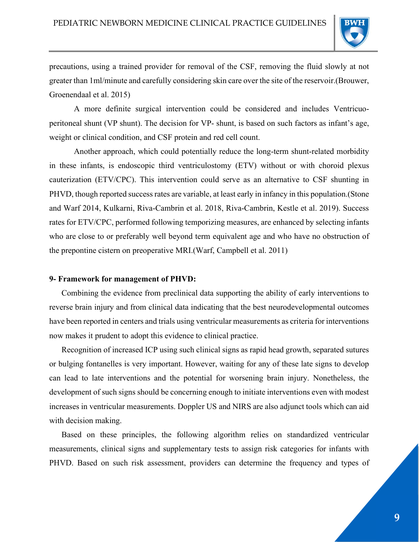

precautions, using a trained provider for removal of the CSF, removing the fluid slowly at not greater than 1ml/minute and carefully considering skin care over the site of the reservoir.(Brouwer, Groenendaal et al. 2015)

A more definite surgical intervention could be considered and includes Ventricuoperitoneal shunt (VP shunt). The decision for VP- shunt, is based on such factors as infant's age, weight or clinical condition, and CSF protein and red cell count.

Another approach, which could potentially reduce the long-term shunt-related morbidity in these infants, is endoscopic third ventriculostomy (ETV) without or with choroid plexus cauterization (ETV/CPC). This intervention could serve as an alternative to CSF shunting in PHVD, though reported success rates are variable, at least early in infancy in this population.(Stone and Warf 2014, Kulkarni, Riva-Cambrin et al. 2018, Riva-Cambrin, Kestle et al. 2019). Success rates for ETV/CPC, performed following temporizing measures, are enhanced by selecting infants who are close to or preferably well beyond term equivalent age and who have no obstruction of the prepontine cistern on preoperative MRI.(Warf, Campbell et al. 2011)

#### 9- Framework for management of PHVD:

Combining the evidence from preclinical data supporting the ability of early interventions to reverse brain injury and from clinical data indicating that the best neurodevelopmental outcomes have been reported in centers and trials using ventricular measurements as criteria for interventions now makes it prudent to adopt this evidence to clinical practice.

Recognition of increased ICP using such clinical signs as rapid head growth, separated sutures or bulging fontanelles is very important. However, waiting for any of these late signs to develop can lead to late interventions and the potential for worsening brain injury. Nonetheless, the development of such signs should be concerning enough to initiate interventions even with modest increases in ventricular measurements. Doppler US and NIRS are also adjunct tools which can aid with decision making.

Based on these principles, the following algorithm relies on standardized ventricular measurements, clinical signs and supplementary tests to assign risk categories for infants with PHVD. Based on such risk assessment, providers can determine the frequency and types of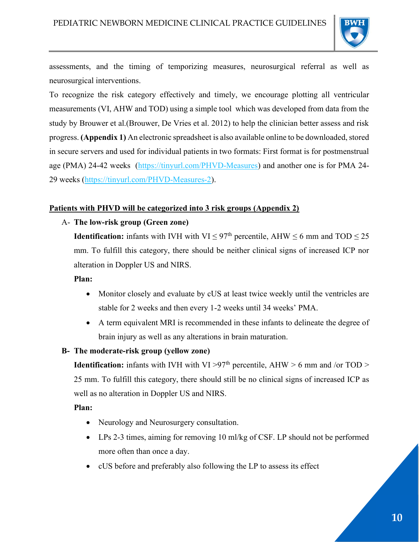

assessments, and the timing of temporizing measures, neurosurgical referral as well as neurosurgical interventions.

To recognize the risk category effectively and timely, we encourage plotting all ventricular measurements (VI, AHW and TOD) using a simple tool which was developed from data from the study by Brouwer et al.(Brouwer, De Vries et al. 2012) to help the clinician better assess and risk progress. (Appendix 1) An electronic spreadsheet is also available online to be downloaded, stored in secure servers and used for individual patients in two formats: First format is for postmenstrual age (PMA) 24-42 weeks (https://tinyurl.com/PHVD-Measures) and another one is for PMA 24-29 weeks (https://tinyurl.com/PHVD-Measures-2).

## Patients with PHVD will be categorized into 3 risk groups (Appendix 2)

## A- The low-risk group (Green zone)

**Identification:** infants with IVH with VI  $\leq$  97<sup>th</sup> percentile, AHW  $\leq$  6 mm and TOD  $\leq$  25 mm. To fulfill this category, there should be neither clinical signs of increased ICP nor alteration in Doppler US and NIRS.

### Plan:

- Monitor closely and evaluate by cUS at least twice weekly until the ventricles are stable for 2 weeks and then every 1-2 weeks until 34 weeks' PMA.
- A term equivalent MRI is recommended in these infants to delineate the degree of brain injury as well as any alterations in brain maturation.

#### B- The moderate-risk group (yellow zone)

**Identification:** infants with IVH with VI >97<sup>th</sup> percentile, AHW > 6 mm and /or TOD > 25 mm. To fulfill this category, there should still be no clinical signs of increased ICP as well as no alteration in Doppler US and NIRS.

#### Plan:

- Neurology and Neurosurgery consultation.
- LPs 2-3 times, aiming for removing 10 ml/kg of CSF. LP should not be performed more often than once a day.
- cUS before and preferably also following the LP to assess its effect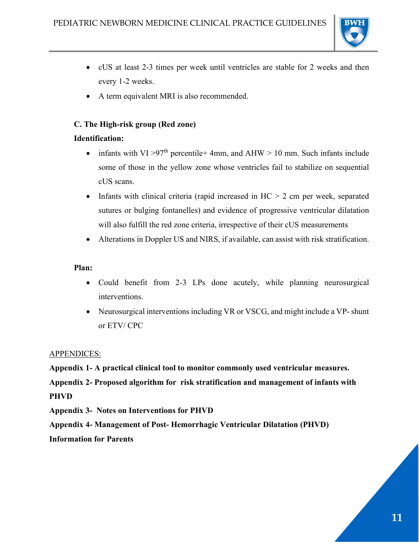

- cUS at least 2-3 times per week until ventricles are stable for 2 weeks and then every 1-2 weeks.
- A term equivalent MRI is also recommended.

## C. The High-risk group (Red zone)

## Identification:

- infants with VI > 97<sup>th</sup> percentile +4mm, and AHW > 10 mm. Such infants include some of those in the yellow zone whose ventricles fail to stabilize on sequential cUS scans.
- Infants with clinical criteria (rapid increased in  $HC > 2$  cm per week, separated sutures or bulging fontanelles) and evidence of progressive ventricular dilatation will also fulfill the red zone criteria, irrespective of their cUS measurements
- Alterations in Doppler US and NIRS, if available, can assist with risk stratification.

## Plan:

- Could benefit from 2-3 LPs done acutely, while planning neurosurgical interventions.
- Neurosurgical interventions including VR or VSCG, and might include a VP- shunt or ETV/ CPC

## APPENDICES:

Appendix 1- A practical clinical tool to monitor commonly used ventricular measures.

Appendix 2- Proposed algorithm for risk stratification and management of infants with PHVD

Appendix 3- Notes on Interventions for PHVD

Appendix 4- Management of Post- Hemorrhagic Ventricular Dilatation (PHVD)

Information for Parents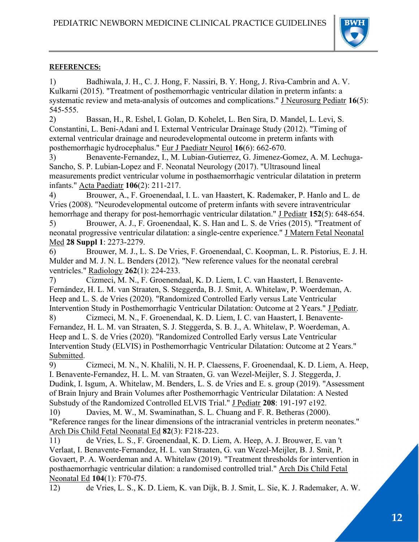

## REFERENCES:

1) Badhiwala, J. H., C. J. Hong, F. Nassiri, B. Y. Hong, J. Riva-Cambrin and A. V. Kulkarni (2015). "Treatment of posthemorrhagic ventricular dilation in preterm infants: a systematic review and meta-analysis of outcomes and complications." J Neurosurg Pediatr 16(5): 545-555.

2) Bassan, H., R. Eshel, I. Golan, D. Kohelet, L. Ben Sira, D. Mandel, L. Levi, S. Constantini, L. Beni-Adani and I. External Ventricular Drainage Study (2012). "Timing of external ventricular drainage and neurodevelopmental outcome in preterm infants with posthemorrhagic hydrocephalus." Eur J Paediatr Neurol 16(6): 662-670.

3) Benavente-Fernandez, I., M. Lubian-Gutierrez, G. Jimenez-Gomez, A. M. Lechuga-Sancho, S. P. Lubian-Lopez and F. Neonatal Neurology (2017). "Ultrasound lineal measurements predict ventricular volume in posthaemorrhagic ventricular dilatation in preterm infants." Acta Paediatr 106(2): 211-217.

4) Brouwer, A., F. Groenendaal, I. L. van Haastert, K. Rademaker, P. Hanlo and L. de Vries (2008). "Neurodevelopmental outcome of preterm infants with severe intraventricular hemorrhage and therapy for post-hemorrhagic ventricular dilatation." J Pediatr 152(5): 648-654.

5) Brouwer, A. J., F. Groenendaal, K. S. Han and L. S. de Vries (2015). "Treatment of neonatal progressive ventricular dilatation: a single-centre experience." J Matern Fetal Neonatal Med 28 Suppl 1: 2273-2279.

6) Brouwer, M. J., L. S. De Vries, F. Groenendaal, C. Koopman, L. R. Pistorius, E. J. H. Mulder and M. J. N. L. Benders (2012). "New reference values for the neonatal cerebral ventricles." <u>Radiology</u> **262**(1): 224-233.

7) Cizmeci, M. N., F. Groenendaal, K. D. Liem, I. C. van Haastert, I. Benavente-Fernández, H. L. M. van Straaten, S. Steggerda, B. J. Smit, A. Whitelaw, P. Woerdeman, A. Heep and L. S. de Vries (2020). "Randomized Controlled Early versus Late Ventricular Intervention Study in Posthemorrhagic Ventricular Dilatation: Outcome at 2 Years." J Pediatr. 8) Cizmeci, M. N., F. Groenendaal, K. D. Liem, I. C. van Haastert, I. Benavente-Fernandez, H. L. M. van Straaten, S. J. Steggerda, S. B. J., A. Whitelaw, P. Woerdeman, A.

Heep and L. S. de Vries (2020). "Randomized Controlled Early versus Late Ventricular Intervention Study (ELVIS) in Posthemorrhagic Ventricular Dilatation: Outcome at 2 Years." Submitted.

9) Cizmeci, M. N., N. Khalili, N. H. P. Claessens, F. Groenendaal, K. D. Liem, A. Heep, I. Benavente-Fernandez, H. L. M. van Straaten, G. van Wezel-Meijler, S. J. Steggerda, J. Dudink, I. Isgum, A. Whitelaw, M. Benders, L. S. de Vries and E. s. group (2019). "Assessment of Brain Injury and Brain Volumes after Posthemorrhagic Ventricular Dilatation: A Nested Substudy of the Randomized Controlled ELVIS Trial." J Pediatr 208: 191-197 e192.

10) Davies, M. W., M. Swaminathan, S. L. Chuang and F. R. Betheras (2000). "Reference ranges for the linear dimensions of the intracranial ventricles in preterm neonates." Arch Dis Child Fetal Neonatal Ed 82(3): F218-223.

11) de Vries, L. S., F. Groenendaal, K. D. Liem, A. Heep, A. J. Brouwer, E. van 't Verlaat, I. Benavente-Fernandez, H. L. van Straaten, G. van Wezel-Meijler, B. J. Smit, P. Govaert, P. A. Woerdeman and A. Whitelaw (2019). "Treatment thresholds for intervention in posthaemorrhagic ventricular dilation: a randomised controlled trial." Arch Dis Child Fetal Neonatal Ed 104(1): F70-f75.

12) de Vries, L. S., K. D. Liem, K. van Dijk, B. J. Smit, L. Sie, K. J. Rademaker, A. W.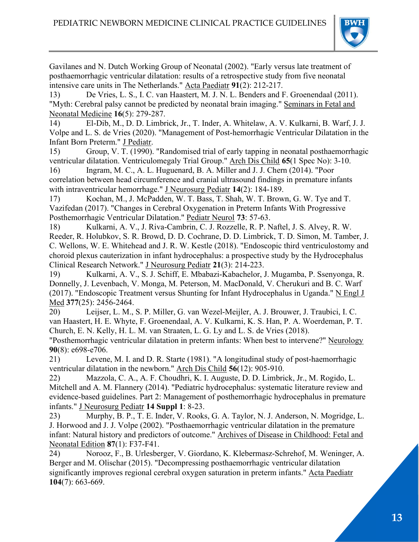

Gavilanes and N. Dutch Working Group of Neonatal (2002). "Early versus late treatment of posthaemorrhagic ventricular dilatation: results of a retrospective study from five neonatal intensive care units in The Netherlands." Acta Paediatr 91(2): 212-217.

13) De Vries, L. S., I. C. van Haastert, M. J. N. L. Benders and F. Groenendaal (2011). "Myth: Cerebral palsy cannot be predicted by neonatal brain imaging." Seminars in Fetal and Neonatal Medicine 16(5): 279-287.

14) El-Dib, M., D. D. Limbrick, Jr., T. Inder, A. Whitelaw, A. V. Kulkarni, B. Warf, J. J. Volpe and L. S. de Vries (2020). "Management of Post-hemorrhagic Ventricular Dilatation in the Infant Born Preterm." J Pediatr.

15) Group, V. T. (1990). "Randomised trial of early tapping in neonatal posthaemorrhagic ventricular dilatation. Ventriculomegaly Trial Group." Arch Dis Child 65(1 Spec No): 3-10.

16) Ingram, M. C., A. L. Huguenard, B. A. Miller and J. J. Chern (2014). "Poor correlation between head circumference and cranial ultrasound findings in premature infants with intraventricular hemorrhage." J Neurosurg Pediatr 14(2): 184-189.

17) Kochan, M., J. McPadden, W. T. Bass, T. Shah, W. T. Brown, G. W. Tye and T. Vazifedan (2017). "Changes in Cerebral Oxygenation in Preterm Infants With Progressive Posthemorrhagic Ventricular Dilatation." Pediatr Neurol 73: 57-63.

18) Kulkarni, A. V., J. Riva-Cambrin, C. J. Rozzelle, R. P. Naftel, J. S. Alvey, R. W. Reeder, R. Holubkov, S. R. Browd, D. D. Cochrane, D. D. Limbrick, T. D. Simon, M. Tamber, J. C. Wellons, W. E. Whitehead and J. R. W. Kestle (2018). "Endoscopic third ventriculostomy and choroid plexus cauterization in infant hydrocephalus: a prospective study by the Hydrocephalus Clinical Research Network." J Neurosurg Pediatr 21(3): 214-223.

19) Kulkarni, A. V., S. J. Schiff, E. Mbabazi-Kabachelor, J. Mugamba, P. Ssenyonga, R. Donnelly, J. Levenbach, V. Monga, M. Peterson, M. MacDonald, V. Cherukuri and B. C. Warf (2017). "Endoscopic Treatment versus Shunting for Infant Hydrocephalus in Uganda." N Engl J Med 377(25): 2456-2464.

20) Leijser, L. M., S. P. Miller, G. van Wezel-Meijler, A. J. Brouwer, J. Traubici, I. C. van Haastert, H. E. Whyte, F. Groenendaal, A. V. Kulkarni, K. S. Han, P. A. Woerdeman, P. T. Church, E. N. Kelly, H. L. M. van Straaten, L. G. Ly and L. S. de Vries (2018).

"Posthemorrhagic ventricular dilatation in preterm infants: When best to intervene?" Neurology 90(8): e698-e706.

21) Levene, M. I. and D. R. Starte (1981). "A longitudinal study of post-haemorrhagic ventricular dilatation in the newborn." Arch Dis Child 56(12): 905-910.

22) Mazzola, C. A., A. F. Choudhri, K. I. Auguste, D. D. Limbrick, Jr., M. Rogido, L. Mitchell and A. M. Flannery (2014). "Pediatric hydrocephalus: systematic literature review and evidence-based guidelines. Part 2: Management of posthemorrhagic hydrocephalus in premature infants." J Neurosurg Pediatr 14 Suppl 1: 8-23.

23) Murphy, B. P., T. E. Inder, V. Rooks, G. A. Taylor, N. J. Anderson, N. Mogridge, L. J. Horwood and J. J. Volpe (2002). "Posthaemorrhagic ventricular dilatation in the premature infant: Natural history and predictors of outcome." Archives of Disease in Childhood: Fetal and Neonatal Edition 87(1): F37-F41.

24) Norooz, F., B. Urlesberger, V. Giordano, K. Klebermasz-Schrehof, M. Weninger, A. Berger and M. Olischar (2015). "Decompressing posthaemorrhagic ventricular dilatation significantly improves regional cerebral oxygen saturation in preterm infants." Acta Paediatr 104(7): 663-669.